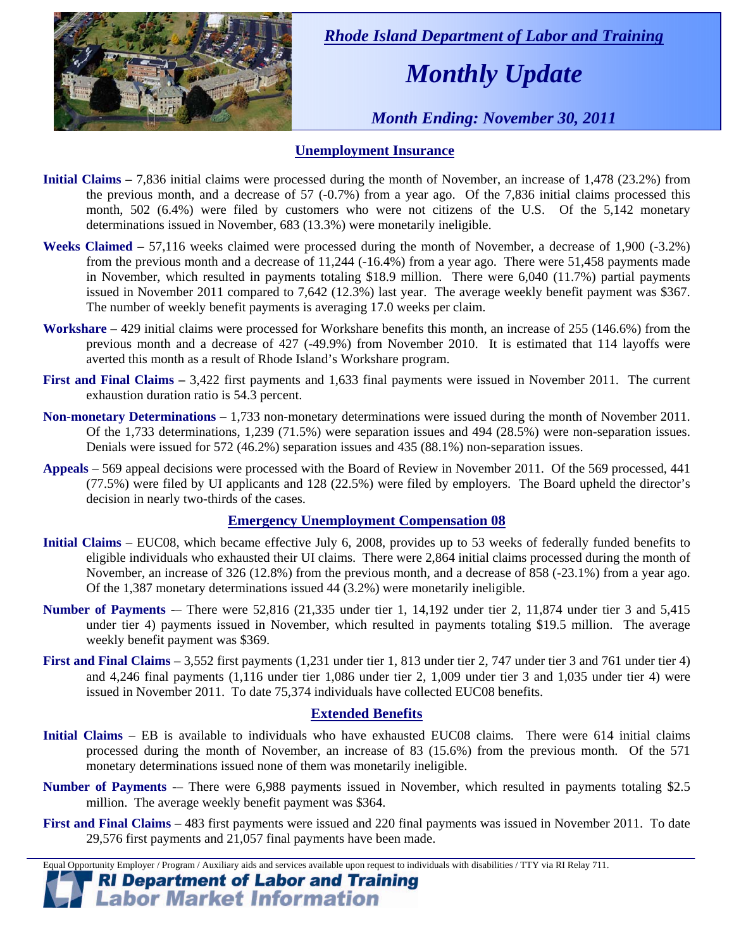

 *Rhode Island Department of Labor and Training* 

# *Monthly Update*

 *Month Ending: November 30, 2011* 

### **Unemployment Insurance**

- **Initial Claims** 7,836 initial claims were processed during the month of November, an increase of 1,478 (23.2%) from the previous month, and a decrease of 57 (-0.7%) from a year ago. Of the 7,836 initial claims processed this month, 502 (6.4%) were filed by customers who were not citizens of the U.S. Of the 5,142 monetary determinations issued in November, 683 (13.3%) were monetarily ineligible.
- **Weeks Claimed** 57,116 weeks claimed were processed during the month of November, a decrease of 1,900 (-3.2%) from the previous month and a decrease of 11,244 (-16.4%) from a year ago. There were 51,458 payments made in November, which resulted in payments totaling \$18.9 million. There were 6,040 (11.7%) partial payments issued in November 2011 compared to 7,642 (12.3%) last year. The average weekly benefit payment was \$367. The number of weekly benefit payments is averaging 17.0 weeks per claim.
- **Workshare –** 429 initial claims were processed for Workshare benefits this month, an increase of 255 (146.6%) from the previous month and a decrease of 427 (-49.9%) from November 2010. It is estimated that 114 layoffs were averted this month as a result of Rhode Island's Workshare program.
- **First and Final Claims –** 3,422 first payments and 1,633 final payments were issued in November 2011. The current exhaustion duration ratio is 54.3 percent.
- **Non-monetary Determinations –** 1,733 non-monetary determinations were issued during the month of November 2011. Of the 1,733 determinations, 1,239 (71.5%) were separation issues and 494 (28.5%) were non-separation issues. Denials were issued for 572 (46.2%) separation issues and 435 (88.1%) non-separation issues.
- **Appeals** 569 appeal decisions were processed with the Board of Review in November 2011. Of the 569 processed, 441 (77.5%) were filed by UI applicants and 128 (22.5%) were filed by employers. The Board upheld the director's decision in nearly two-thirds of the cases.

### **Emergency Unemployment Compensation 08**

- **Initial Claims**  EUC08, which became effective July 6, 2008, provides up to 53 weeks of federally funded benefits to eligible individuals who exhausted their UI claims. There were 2,864 initial claims processed during the month of November, an increase of 326 (12.8%) from the previous month, and a decrease of 858 (-23.1%) from a year ago. Of the 1,387 monetary determinations issued 44 (3.2%) were monetarily ineligible.
- **Number of Payments** -– There were 52,816 (21,335 under tier 1, 14,192 under tier 2, 11,874 under tier 3 and 5,415 under tier 4) payments issued in November, which resulted in payments totaling \$19.5 million. The average weekly benefit payment was \$369.
- **First and Final Claims**  3,552 first payments (1,231 under tier 1, 813 under tier 2, 747 under tier 3 and 761 under tier 4) and 4,246 final payments (1,116 under tier 1,086 under tier 2, 1,009 under tier 3 and 1,035 under tier 4) were issued in November 2011. To date 75,374 individuals have collected EUC08 benefits.

### **Extended Benefits**

- **Initial Claims**  EB is available to individuals who have exhausted EUC08 claims. There were 614 initial claims processed during the month of November, an increase of 83 (15.6%) from the previous month. Of the 571 monetary determinations issued none of them was monetarily ineligible.
- **Number of Payments** -– There were 6,988 payments issued in November, which resulted in payments totaling \$2.5 million. The average weekly benefit payment was \$364.
- **First and Final Claims**  483 first payments were issued and 220 final payments was issued in November 2011. To date 29,576 first payments and 21,057 final payments have been made.

Equal Opportunity Employer / Program / Auxiliary aids and services available upon request to individuals with disabilities / TTY via RI Relay 711.

**RI Department of Labor and Training Labor Market Information**